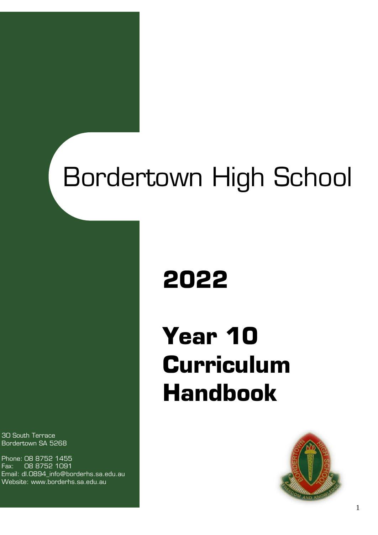# undertown High Scho Bordertown High School

# **2022**

# **Year 10 Curriculum Handbook**



30 South Terrace Bordertown SA 5268

Phone: 08 8752 1455 Fax: 08 8752 1091 Email: dl.0894\_info@borderhs.sa.edu.au Website: www.borderhs.sa.edu.au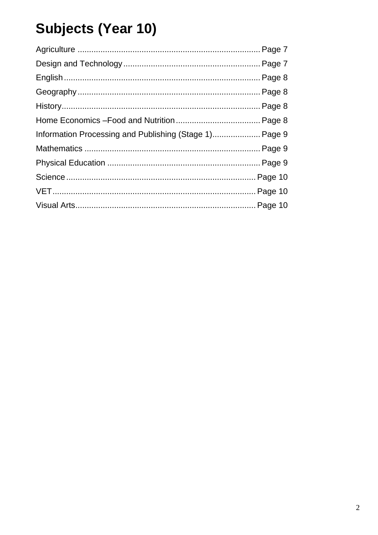# **Subjects (Year 10)**

| Information Processing and Publishing (Stage 1) Page 9 |  |
|--------------------------------------------------------|--|
|                                                        |  |
|                                                        |  |
|                                                        |  |
|                                                        |  |
|                                                        |  |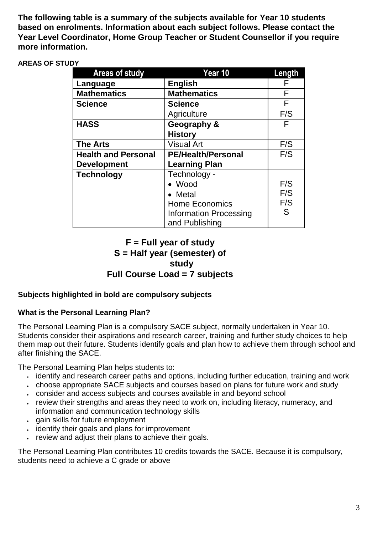**The following table is a summary of the subjects available for Year 10 students based on enrolments. Information about each subject follows. Please contact the Year Level Coordinator, Home Group Teacher or Student Counsellor if you require more information.**

#### **AREAS OF STUDY**

| <b>Areas of study</b>      | Year 10                       | Length |
|----------------------------|-------------------------------|--------|
| Language                   | <b>English</b>                | F      |
| <b>Mathematics</b>         | <b>Mathematics</b>            | F      |
| <b>Science</b>             | <b>Science</b>                | F      |
|                            | Agriculture                   | F/S    |
| <b>HASS</b>                | Geography &                   | F      |
|                            | <b>History</b>                |        |
| <b>The Arts</b>            | <b>Visual Art</b>             | F/S    |
| <b>Health and Personal</b> | <b>PE/Health/Personal</b>     | F/S    |
| <b>Development</b>         | <b>Learning Plan</b>          |        |
| <b>Technology</b>          | Technology -                  |        |
|                            | • Wood                        | F/S    |
|                            | Metal                         | F/S    |
|                            | <b>Home Economics</b>         | F/S    |
|                            | <b>Information Processing</b> | S      |
|                            | and Publishing                |        |

# **F = Full year of study S = Half year (semester) of study Full Course Load = 7 subjects**

### **Subjects highlighted in bold are compulsory subjects**

#### **What is the Personal Learning Plan?**

The Personal Learning Plan is a compulsory SACE subject, normally undertaken in Year 10. Students consider their aspirations and research career, training and further study choices to help them map out their future. Students identify goals and plan how to achieve them through school and after finishing the SACE.

The Personal Learning Plan helps students to:

- identify and research career paths and options, including further education, training and work
- choose appropriate SACE subjects and courses based on plans for future work and study
- consider and access subjects and courses available in and beyond school
- Fig. review their strengths and areas they need to work on, including literacy, numeracy, and information and communication technology skills
- gain skills for future employment
- identify their goals and plans for improvement
- Figure 1. Figure is verieve their verieve their goals.

The Personal Learning Plan contributes 10 credits towards the SACE. Because it is compulsory, students need to achieve a C grade or above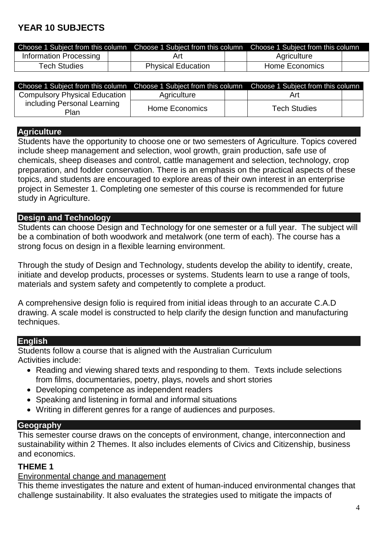# **YEAR 10 SUBJECTS**

|                        | Choose 1 Subject from this column Choose 1 Subject from this column Choose 1 Subject from this column |  |                       |  |
|------------------------|-------------------------------------------------------------------------------------------------------|--|-----------------------|--|
| Information Processing | Art                                                                                                   |  | Agriculture           |  |
| <b>Tech Studies</b>    | <b>Physical Education</b>                                                                             |  | <b>Home Economics</b> |  |

| Choose 1 Subject from this column Choose 1 Subject from this column Choose 1 Subject from this column |                |                     |  |
|-------------------------------------------------------------------------------------------------------|----------------|---------------------|--|
| <b>Compulsory Physical Education</b>                                                                  | Agriculture    | Art                 |  |
| including Personal Learning<br>Plan                                                                   | Home Economics | <b>Tech Studies</b> |  |

#### **Agriculture**

Students have the opportunity to choose one or two semesters of Agriculture. Topics covered include sheep management and selection, wool growth, grain production, safe use of chemicals, sheep diseases and control, cattle management and selection, technology, crop preparation, and fodder conservation. There is an emphasis on the practical aspects of these topics, and students are encouraged to explore areas of their own interest in an enterprise project in Semester 1. Completing one semester of this course is recommended for future study in Agriculture.

#### **Design and Technology**

Students can choose Design and Technology for one semester or a full year. The subject will be a combination of both woodwork and metalwork (one term of each). The course has a strong focus on design in a flexible learning environment.

Through the study of Design and Technology, students develop the ability to identify, create, initiate and develop products, processes or systems. Students learn to use a range of tools, materials and system safety and competently to complete a product.

A comprehensive design folio is required from initial ideas through to an accurate C.A.D drawing. A scale model is constructed to help clarify the design function and manufacturing techniques.

#### **English**

Students follow a course that is aligned with the Australian Curriculum Activities include:

- Reading and viewing shared texts and responding to them. Texts include selections from films, documentaries, poetry, plays, novels and short stories
- Developing competence as independent readers
- Speaking and listening in formal and informal situations
- Writing in different genres for a range of audiences and purposes.

### **Geography**

This semester course draws on the concepts of environment, change, interconnection and sustainability within 2 Themes. It also includes elements of Civics and Citizenship, business and economics.

#### **THEME 1**

[Environmental change and management](http://www.australiancurriculum.edu.au/Geography/Curriculum/F-10#level=10)

This theme investigates the nature and extent of human-induced environmental changes that challenge sustainability. It also evaluates the strategies used to mitigate the impacts of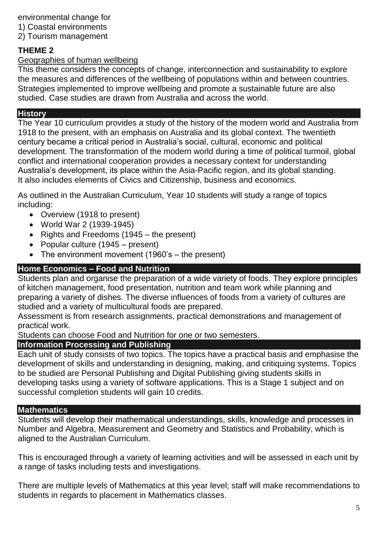environmental change for

1) Coastal environments

2) Tourism management

# **THEME 2**

# [Geographies of human wellbeing](http://www.australiancurriculum.edu.au/Geography/Curriculum/F-10#level=10)

This theme considers the concepts of change, interconnection and sustainability to explore the measures and differences of the wellbeing of populations within and between countries. Strategies implemented to improve wellbeing and promote a sustainable future are also studied. Case studies are drawn from Australia and across the world.

# **History**

The Year 10 curriculum provides a study of the history of the modern world and Australia from 1918 to the present, with an emphasis on Australia and its global context. The twentieth century became a critical period in Australia's social, cultural, economic and political development. The transformation of the modern world during a time of political turmoil, global conflict and international cooperation provides a necessary context for understanding Australia's development, its place within the Asia-Pacific region, and its global standing. It also includes elements of Civics and Citizenship, business and economics.

As outlined in the Australian Curriculum, Year 10 students will study a range of topics including:

- Overview (1918 to present)
- World War 2 (1939-1945)
- Rights and Freedoms (1945 the present)
- Popular culture (1945 present)
- The environment movement (1960's the present)

# **Home Economics – Food and Nutrition**

Students plan and organise the preparation of a wide variety of foods. They explore principles of kitchen management, food presentation, nutrition and team work while planning and preparing a variety of dishes. The diverse influences of foods from a variety of cultures are studied and a variety of multicultural foods are prepared.

Assessment is from research assignments, practical demonstrations and management of practical work.

Students can choose Food and Nutrition for one or two semesters.

# **Information Processing and Publishing**

Each unit of study consists of two topics. The topics have a practical basis and emphasise the development of skills and understanding in designing, making, and critiquing systems. Topics to be studied are Personal Publishing and Digital Publishing giving students skills in developing tasks using a variety of software applications. This is a Stage 1 subject and on successful completion students will gain 10 credits.

# **Mathematics**

Students will develop their mathematical understandings, skills, knowledge and processes in Number and Algebra, Measurement and Geometry and Statistics and Probability, which is aligned to the Australian Curriculum.

This is encouraged through a variety of learning activities and will be assessed in each unit by a range of tasks including tests and investigations.

There are multiple levels of Mathematics at this year level; staff will make recommendations to students in regards to placement in Mathematics classes.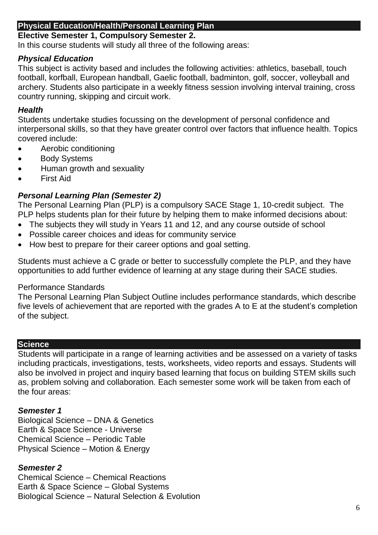#### **Physical Education/Health/Personal Learning Plan**

# **Elective Semester 1, Compulsory Semester 2.**

In this course students will study all three of the following areas:

# *Physical Education*

This subject is activity based and includes the following activities: athletics, baseball, touch football, korfball, European handball, Gaelic football, badminton, golf, soccer, volleyball and archery. Students also participate in a weekly fitness session involving interval training, cross country running, skipping and circuit work.

#### *Health*

Students undertake studies focussing on the development of personal confidence and interpersonal skills, so that they have greater control over factors that influence health. Topics covered include:

- Aerobic conditioning
- Body Systems
- Human growth and sexuality
- First Aid

## *Personal Learning Plan (Semester 2)*

The Personal Learning Plan (PLP) is a compulsory SACE Stage 1, 10-credit subject. The PLP helps students plan for their future by helping them to make informed decisions about:

- The subjects they will study in Years 11 and 12, and any course outside of school
- Possible career choices and ideas for community service
- How best to prepare for their career options and goal setting.

Students must achieve a C grade or better to successfully complete the PLP, and they have opportunities to add further evidence of learning at any stage during their SACE studies.

#### Performance Standards

The Personal Learning Plan Subject Outline includes performance standards, which describe five levels of achievement that are reported with the grades A to E at the student's completion of the subject.

#### **Science**

Students will participate in a range of learning activities and be assessed on a variety of tasks including practicals, investigations, tests, worksheets, video reports and essays. Students will also be involved in project and inquiry based learning that focus on building STEM skills such as, problem solving and collaboration. Each semester some work will be taken from each of the four areas:

### *Semester 1*

Biological Science – DNA & Genetics Earth & Space Science - Universe Chemical Science – Periodic Table Physical Science – Motion & Energy

### *Semester 2*

Chemical Science – Chemical Reactions Earth & Space Science – Global Systems Biological Science – Natural Selection & Evolution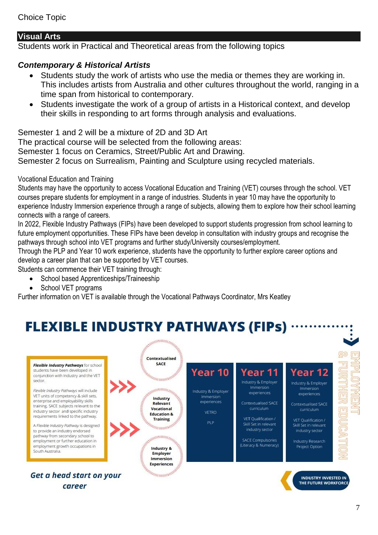## **Visual Arts**

Students work in Practical and Theoretical areas from the following topics

# *Contemporary & Historical Artists*

- Students study the work of artists who use the media or themes they are working in. This includes artists from Australia and other cultures throughout the world, ranging in a time span from historical to contemporary.
- Students investigate the work of a group of artists in a Historical context, and develop their skills in responding to art forms through analysis and evaluations.

Semester 1 and 2 will be a mixture of 2D and 3D Art The practical course will be selected from the following areas: Semester 1 focus on Ceramics, Street/Public Art and Drawing.

Semester 2 focus on Surrealism, Painting and Sculpture using recycled materials.

#### Vocational Education and Training

Students may have the opportunity to access Vocational Education and Training (VET) courses through the school. VET courses prepare students for employment in a range of industries. Students in year 10 may have the opportunity to experience Industry Immersion experience through a range of subjects, allowing them to explore how their school learning connects with a range of careers.

In 2022, Flexible Industry Pathways (FIPs) have been developed to support students progression from school learning to future employment opportunities. These FIPs have been develop in consultation with industry groups and recognise the pathways through school into VET programs and further study/University courses/employment.

Through the PLP and Year 10 work experience, students have the opportunity to further explore career options and develop a career plan that can be supported by VET courses.

Students can commence their VET training through:

- School based Apprenticeships/Traineeship
- School VET programs

Further information on VET is available through the Vocational Pathways Coordinator, Mrs Keatley

# **FLEXIBLE INDUSTRY PATHWAYS (FIPS)**